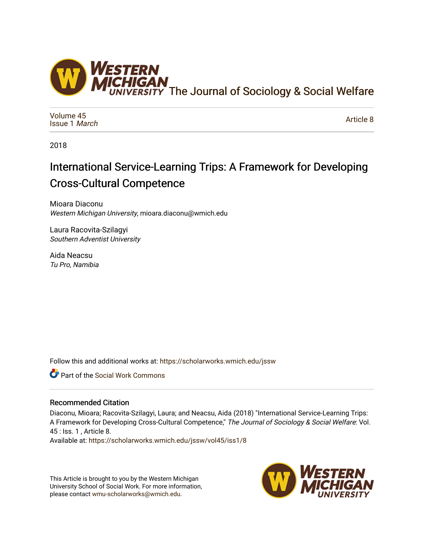

[Volume 45](https://scholarworks.wmich.edu/jssw/vol45) [Issue 1](https://scholarworks.wmich.edu/jssw/vol45/iss1) March

[Article 8](https://scholarworks.wmich.edu/jssw/vol45/iss1/8) 

2018

# International Service-Learning Trips: A Framework for Developing Cross-Cultural Competence

Mioara Diaconu Western Michigan University, mioara.diaconu@wmich.edu

Laura Racovita-Szilagyi Southern Adventist University

Aida Neacsu Tu Pro, Namibia

Follow this and additional works at: [https://scholarworks.wmich.edu/jssw](https://scholarworks.wmich.edu/jssw?utm_source=scholarworks.wmich.edu%2Fjssw%2Fvol45%2Fiss1%2F8&utm_medium=PDF&utm_campaign=PDFCoverPages) 

Part of the [Social Work Commons](http://network.bepress.com/hgg/discipline/713?utm_source=scholarworks.wmich.edu%2Fjssw%2Fvol45%2Fiss1%2F8&utm_medium=PDF&utm_campaign=PDFCoverPages)

## Recommended Citation

Diaconu, Mioara; Racovita-Szilagyi, Laura; and Neacsu, Aida (2018) "International Service-Learning Trips: A Framework for Developing Cross-Cultural Competence," The Journal of Sociology & Social Welfare: Vol. 45 : Iss. 1 , Article 8.

Available at: [https://scholarworks.wmich.edu/jssw/vol45/iss1/8](https://scholarworks.wmich.edu/jssw/vol45/iss1/8?utm_source=scholarworks.wmich.edu%2Fjssw%2Fvol45%2Fiss1%2F8&utm_medium=PDF&utm_campaign=PDFCoverPages)

This Article is brought to you by the Western Michigan University School of Social Work. For more information, please contact [wmu-scholarworks@wmich.edu.](mailto:wmu-scholarworks@wmich.edu)

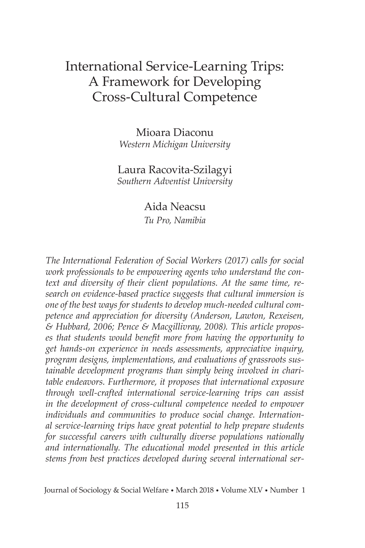## International Service-Learning Trips: A Framework for Developing Cross-Cultural Competence

Mioara Diaconu *Western Michigan University*

## Laura Racovita-Szilagyi *Southern Adventist University*

Aida Neacsu

*Tu Pro, Namibia*

*The International Federation of Social Workers (2017) calls for social work professionals to be empowering agents who understand the context and diversity of their client populations. At the same time, research on evidence-based practice suggests that cultural immersion is one of the best ways for students to develop much-needed cultural competence and appreciation for diversity (Anderson, Lawton, Rexeisen, & Hubbard, 2006; Pence & Macgillivray, 2008). This article proposes that students would benefit more from having the opportunity to get hands-on experience in needs assessments, appreciative inquiry, program designs, implementations, and evaluations of grassroots sustainable development programs than simply being involved in charitable endeavors. Furthermore, it proposes that international exposure through well-crafted international service-learning trips can assist in the development of cross-cultural competence needed to empower individuals and communities to produce social change. International service-learning trips have great potential to help prepare students for successful careers with culturally diverse populations nationally and internationally. The educational model presented in this article stems from best practices developed during several international ser-*

Journal of Sociology & Social Welfare • March 2018 • Volume XLV • Number 1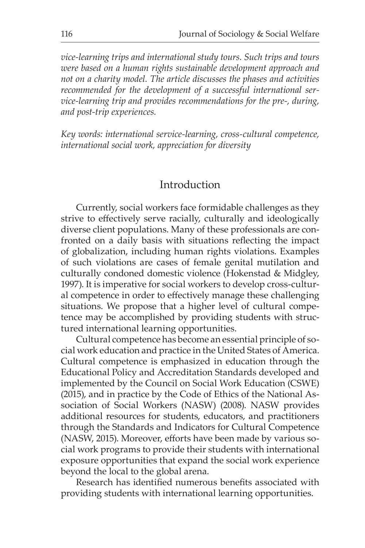*vice-learning trips and international study tours. Such trips and tours were based on a human rights sustainable development approach and not on a charity model. The article discusses the phases and activities recommended for the development of a successful international service-learning trip and provides recommendations for the pre-, during, and post-trip experiences.*

*Key words: international service-learning, cross-cultural competence, international social work, appreciation for diversity* 

## Introduction

Currently, social workers face formidable challenges as they strive to effectively serve racially, culturally and ideologically diverse client populations. Many of these professionals are confronted on a daily basis with situations reflecting the impact of globalization, including human rights violations. Examples of such violations are cases of female genital mutilation and culturally condoned domestic violence (Hokenstad & Midgley, 1997). It is imperative for social workers to develop cross-cultural competence in order to effectively manage these challenging situations. We propose that a higher level of cultural competence may be accomplished by providing students with structured international learning opportunities.

Cultural competence has become an essential principle of social work education and practice in the United States of America. Cultural competence is emphasized in education through the Educational Policy and Accreditation Standards developed and implemented by the Council on Social Work Education (CSWE) (2015), and in practice by the Code of Ethics of the National Association of Social Workers (NASW) (2008). NASW provides additional resources for students, educators, and practitioners through the Standards and Indicators for Cultural Competence (NASW, 2015). Moreover, efforts have been made by various social work programs to provide their students with international exposure opportunities that expand the social work experience beyond the local to the global arena.

Research has identified numerous benefits associated with providing students with international learning opportunities.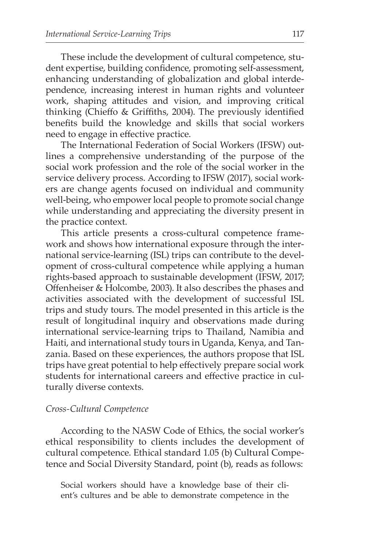These include the development of cultural competence, student expertise, building confidence, promoting self-assessment, enhancing understanding of globalization and global interdependence, increasing interest in human rights and volunteer work, shaping attitudes and vision, and improving critical thinking (Chieffo & Griffiths, 2004). The previously identified benefits build the knowledge and skills that social workers need to engage in effective practice.

The International Federation of Social Workers (IFSW) outlines a comprehensive understanding of the purpose of the social work profession and the role of the social worker in the service delivery process. According to IFSW (2017), social workers are change agents focused on individual and community well-being, who empower local people to promote social change while understanding and appreciating the diversity present in the practice context.

This article presents a cross-cultural competence framework and shows how international exposure through the international service-learning (ISL) trips can contribute to the development of cross-cultural competence while applying a human rights-based approach to sustainable development (IFSW, 2017; Offenheiser & Holcombe, 2003). It also describes the phases and activities associated with the development of successful ISL trips and study tours. The model presented in this article is the result of longitudinal inquiry and observations made during international service-learning trips to Thailand, Namibia and Haiti, and international study tours in Uganda, Kenya, and Tanzania. Based on these experiences, the authors propose that ISL trips have great potential to help effectively prepare social work students for international careers and effective practice in culturally diverse contexts.

## *Cross-Cultural Competence*

According to the NASW Code of Ethics, the social worker's ethical responsibility to clients includes the development of cultural competence. Ethical standard 1.05 (b) Cultural Competence and Social Diversity Standard, point (b), reads as follows:

Social workers should have a knowledge base of their client's cultures and be able to demonstrate competence in the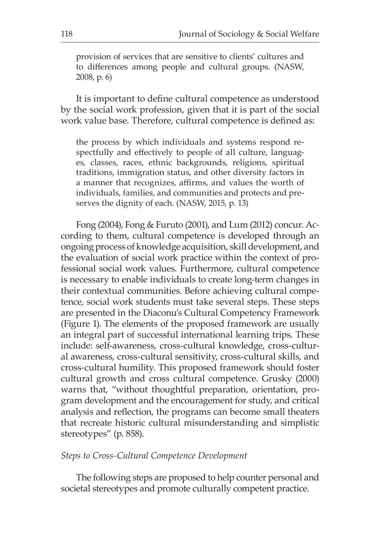provision of services that are sensitive to clients' cultures and to differences among people and cultural groups. (NASW, 2008, p. 6)

It is important to define cultural competence as understood by the social work profession, given that it is part of the social work value base. Therefore, cultural competence is defined as:

the process by which individuals and systems respond respectfully and effectively to people of all culture, languages, classes, races, ethnic backgrounds, religions, spiritual traditions, immigration status, and other diversity factors in a manner that recognizes, affirms, and values the worth of individuals, families, and communities and protects and preserves the dignity of each. (NASW, 2015, p. 13)

Fong (2004), Fong & Furuto (2001), and Lum (2012) concur. According to them, cultural competence is developed through an ongoing process of knowledge acquisition, skill development, and the evaluation of social work practice within the context of professional social work values. Furthermore, cultural competence is necessary to enable individuals to create long-term changes in their contextual communities. Before achieving cultural competence, social work students must take several steps. These steps are presented in the Diaconu's Cultural Competency Framework (Figure 1). The elements of the proposed framework are usually an integral part of successful international learning trips. These include: self-awareness, cross-cultural knowledge, cross-cultural awareness, cross-cultural sensitivity, cross-cultural skills, and cross-cultural humility. This proposed framework should foster cultural growth and cross cultural competence. Grusky (2000) warns that, "without thoughtful preparation, orientation, program development and the encouragement for study, and critical analysis and reflection, the programs can become small theaters that recreate historic cultural misunderstanding and simplistic stereotypes" (p. 858).

#### *Steps to Cross-Cultural Competence Development*

The following steps are proposed to help counter personal and societal stereotypes and promote culturally competent practice.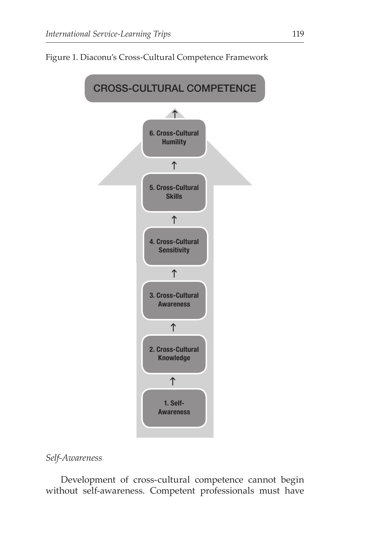



## *Self-Awareness*

Development of cross-cultural competence cannot begin without self-awareness. Competent professionals must have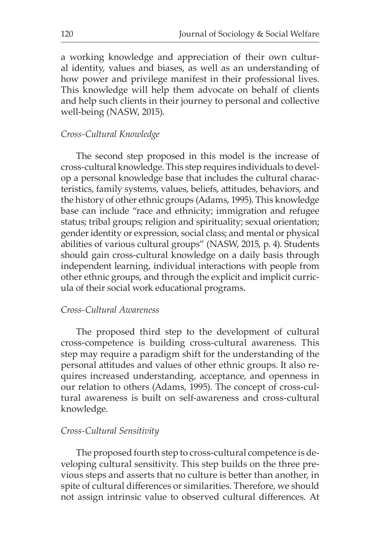a working knowledge and appreciation of their own cultural identity, values and biases, as well as an understanding of how power and privilege manifest in their professional lives. This knowledge will help them advocate on behalf of clients and help such clients in their journey to personal and collective well-being (NASW, 2015).

#### *Cross-Cultural Knowledge*

The second step proposed in this model is the increase of cross-cultural knowledge. This step requires individuals to develop a personal knowledge base that includes the cultural characteristics, family systems, values, beliefs, attitudes, behaviors, and the history of other ethnic groups (Adams, 1995). This knowledge base can include "race and ethnicity; immigration and refugee status; tribal groups; religion and spirituality; sexual orientation; gender identity or expression, social class; and mental or physical abilities of various cultural groups" (NASW, 2015, p. 4). Students should gain cross-cultural knowledge on a daily basis through independent learning, individual interactions with people from other ethnic groups, and through the explicit and implicit curricula of their social work educational programs.

#### *Cross-Cultural Awareness*

The proposed third step to the development of cultural cross-competence is building cross-cultural awareness. This step may require a paradigm shift for the understanding of the personal attitudes and values of other ethnic groups. It also requires increased understanding, acceptance, and openness in our relation to others (Adams, 1995). The concept of cross-cultural awareness is built on self-awareness and cross-cultural knowledge.

#### *Cross-Cultural Sensitivity*

The proposed fourth step to cross-cultural competence is developing cultural sensitivity. This step builds on the three previous steps and asserts that no culture is better than another, in spite of cultural differences or similarities. Therefore, we should not assign intrinsic value to observed cultural differences. At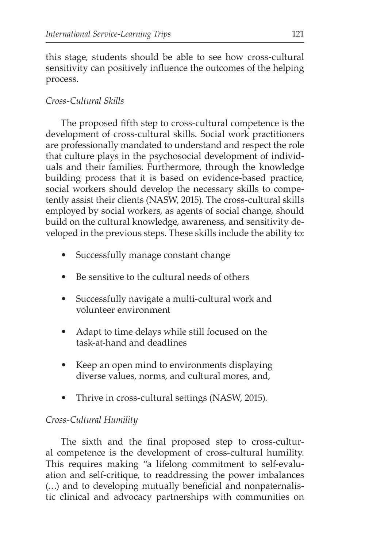this stage, students should be able to see how cross-cultural sensitivity can positively influence the outcomes of the helping process.

## *Cross-Cultural Skills*

The proposed fifth step to cross-cultural competence is the development of cross-cultural skills. Social work practitioners are professionally mandated to understand and respect the role that culture plays in the psychosocial development of individuals and their families. Furthermore, through the knowledge building process that it is based on evidence-based practice, social workers should develop the necessary skills to competently assist their clients (NASW, 2015). The cross-cultural skills employed by social workers, as agents of social change, should build on the cultural knowledge, awareness, and sensitivity developed in the previous steps. These skills include the ability to:

- Successfully manage constant change
- Be sensitive to the cultural needs of others
- Successfully navigate a multi-cultural work and volunteer environment
- Adapt to time delays while still focused on the task-at-hand and deadlines
- Keep an open mind to environments displaying diverse values, norms, and cultural mores, and,
- Thrive in cross-cultural settings (NASW, 2015).

## *Cross-Cultural Humility*

The sixth and the final proposed step to cross-cultural competence is the development of cross-cultural humility. This requires making "a lifelong commitment to self-evaluation and self-critique, to readdressing the power imbalances (…) and to developing mutually beneficial and nonpaternalistic clinical and advocacy partnerships with communities on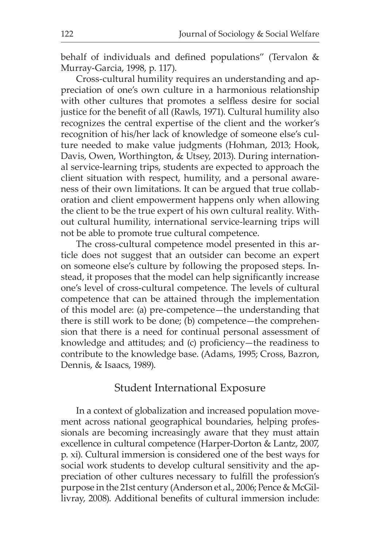behalf of individuals and defined populations" (Tervalon & Murray-Garcia, 1998, p. 117).

Cross-cultural humility requires an understanding and appreciation of one's own culture in a harmonious relationship with other cultures that promotes a selfless desire for social justice for the benefit of all (Rawls, 1971). Cultural humility also recognizes the central expertise of the client and the worker's recognition of his/her lack of knowledge of someone else's culture needed to make value judgments (Hohman, 2013; Hook, Davis, Owen, Worthington, & Utsey, 2013). During international service-learning trips, students are expected to approach the client situation with respect, humility, and a personal awareness of their own limitations. It can be argued that true collaboration and client empowerment happens only when allowing the client to be the true expert of his own cultural reality. Without cultural humility, international service-learning trips will not be able to promote true cultural competence.

The cross-cultural competence model presented in this article does not suggest that an outsider can become an expert on someone else's culture by following the proposed steps. Instead, it proposes that the model can help significantly increase one's level of cross-cultural competence. The levels of cultural competence that can be attained through the implementation of this model are: (a) pre-competence—the understanding that there is still work to be done; (b) competence—the comprehension that there is a need for continual personal assessment of knowledge and attitudes; and (c) proficiency—the readiness to contribute to the knowledge base. (Adams, 1995; Cross, Bazron, Dennis, & Isaacs, 1989).

## Student International Exposure

In a context of globalization and increased population movement across national geographical boundaries, helping professionals are becoming increasingly aware that they must attain excellence in cultural competence (Harper-Dorton & Lantz, 2007, p. xi). Cultural immersion is considered one of the best ways for social work students to develop cultural sensitivity and the appreciation of other cultures necessary to fulfill the profession's purpose in the 21st century (Anderson et al., 2006; Pence & McGillivray, 2008). Additional benefits of cultural immersion include: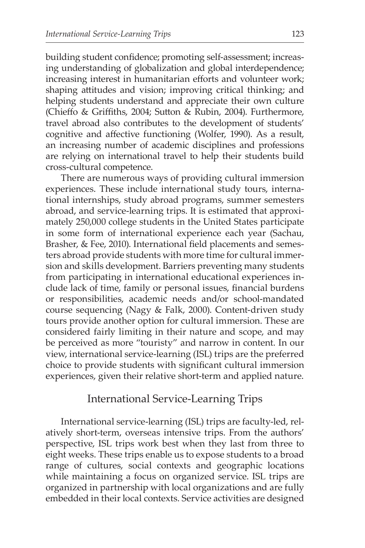building student confidence; promoting self-assessment; increasing understanding of globalization and global interdependence; increasing interest in humanitarian efforts and volunteer work; shaping attitudes and vision; improving critical thinking; and helping students understand and appreciate their own culture (Chieffo & Griffiths, 2004; Sutton & Rubin, 2004). Furthermore, travel abroad also contributes to the development of students' cognitive and affective functioning (Wolfer, 1990). As a result, an increasing number of academic disciplines and professions are relying on international travel to help their students build cross-cultural competence.

There are numerous ways of providing cultural immersion experiences. These include international study tours, international internships, study abroad programs, summer semesters abroad, and service-learning trips. It is estimated that approximately 250,000 college students in the United States participate in some form of international experience each year (Sachau, Brasher, & Fee, 2010). International field placements and semesters abroad provide students with more time for cultural immersion and skills development. Barriers preventing many students from participating in international educational experiences include lack of time, family or personal issues, financial burdens or responsibilities, academic needs and/or school-mandated course sequencing (Nagy & Falk, 2000). Content-driven study tours provide another option for cultural immersion. These are considered fairly limiting in their nature and scope, and may be perceived as more "touristy" and narrow in content. In our view, international service-learning (ISL) trips are the preferred choice to provide students with significant cultural immersion experiences, given their relative short-term and applied nature.

## International Service-Learning Trips

International service-learning (ISL) trips are faculty-led, relatively short-term, overseas intensive trips. From the authors' perspective, ISL trips work best when they last from three to eight weeks. These trips enable us to expose students to a broad range of cultures, social contexts and geographic locations while maintaining a focus on organized service. ISL trips are organized in partnership with local organizations and are fully embedded in their local contexts. Service activities are designed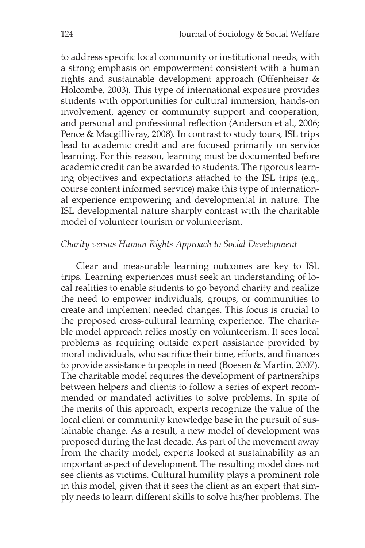to address specific local community or institutional needs, with a strong emphasis on empowerment consistent with a human rights and sustainable development approach (Offenheiser & Holcombe, 2003). This type of international exposure provides students with opportunities for cultural immersion, hands-on involvement, agency or community support and cooperation, and personal and professional reflection (Anderson et al., 2006; Pence & Macgillivray, 2008). In contrast to study tours, ISL trips lead to academic credit and are focused primarily on service learning. For this reason, learning must be documented before academic credit can be awarded to students. The rigorous learning objectives and expectations attached to the ISL trips (e.g., course content informed service) make this type of international experience empowering and developmental in nature. The ISL developmental nature sharply contrast with the charitable model of volunteer tourism or volunteerism.

#### *Charity versus Human Rights Approach to Social Development*

Clear and measurable learning outcomes are key to ISL trips. Learning experiences must seek an understanding of local realities to enable students to go beyond charity and realize the need to empower individuals, groups, or communities to create and implement needed changes. This focus is crucial to the proposed cross-cultural learning experience. The charitable model approach relies mostly on volunteerism. It sees local problems as requiring outside expert assistance provided by moral individuals, who sacrifice their time, efforts, and finances to provide assistance to people in need (Boesen & Martin, 2007). The charitable model requires the development of partnerships between helpers and clients to follow a series of expert recommended or mandated activities to solve problems. In spite of the merits of this approach, experts recognize the value of the local client or community knowledge base in the pursuit of sustainable change. As a result, a new model of development was proposed during the last decade. As part of the movement away from the charity model, experts looked at sustainability as an important aspect of development. The resulting model does not see clients as victims. Cultural humility plays a prominent role in this model, given that it sees the client as an expert that simply needs to learn different skills to solve his/her problems. The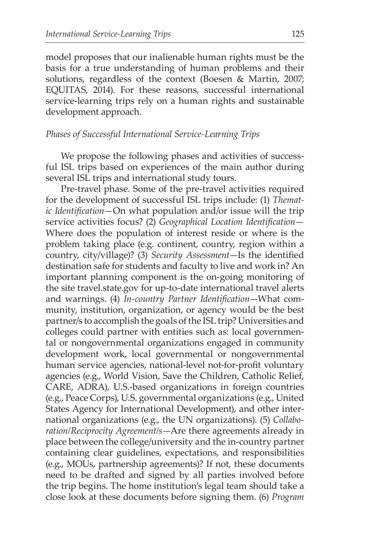model proposes that our inalienable human rights must be the basis for a true understanding of human problems and their solutions, regardless of the context (Boesen & Martin, 2007; EQUITAS, 2014). For these reasons, successful international service-learning trips rely on a human rights and sustainable development approach.

#### *Phases of Successful International Service-Learning Trips*

We propose the following phases and activities of successful ISL trips based on experiences of the main author during several ISL trips and international study tours.

Pre-travel phase. Some of the pre-travel activities required for the development of successful ISL trips include: (1) *Thematic Identification*—On what population and/or issue will the trip service activities focus? (2) *Geographical Location Identification*— Where does the population of interest reside or where is the problem taking place (e.g. continent, country, region within a country, city/village)? (3) *Security Assessment*—Is the identified destination safe for students and faculty to live and work in? An important planning component is the on-going monitoring of the site travel.state.gov for up-to-date international travel alerts and warnings. (4) *In-country Partner Identification*—What community, institution, organization, or agency would be the best partner/s to accomplish the goals of the ISL trip? Universities and colleges could partner with entities such as: local governmental or nongovernmental organizations engaged in community development work, local governmental or nongovernmental human service agencies, national-level not-for-profit voluntary agencies (e.g., World Vision, Save the Children, Catholic Relief, CARE, ADRA), U.S.-based organizations in foreign countries (e.g., Peace Corps), U.S. governmental organizations (e.g., United States Agency for International Development), and other international organizations (e.g., the UN organizations). (5) *Collaboration/Reciprocity Agreement/s*—Are there agreements already in place between the college/university and the in-country partner containing clear guidelines, expectations, and responsibilities (e.g., MOUs, partnership agreements)? If not, these documents need to be drafted and signed by all parties involved before the trip begins. The home institution's legal team should take a close look at these documents before signing them. (6) *Program*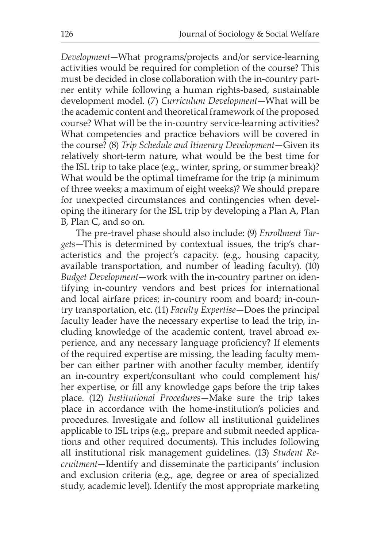*Development*—What programs/projects and/or service-learning activities would be required for completion of the course? This must be decided in close collaboration with the in-country partner entity while following a human rights-based, sustainable development model. (7) *Curriculum Development*—What will be the academic content and theoretical framework of the proposed course? What will be the in-country service-learning activities? What competencies and practice behaviors will be covered in the course? (8) *Trip Schedule and Itinerary Development*—Given its relatively short-term nature, what would be the best time for the ISL trip to take place (e.g., winter, spring, or summer break)? What would be the optimal timeframe for the trip (a minimum of three weeks; a maximum of eight weeks)? We should prepare for unexpected circumstances and contingencies when developing the itinerary for the ISL trip by developing a Plan A, Plan B, Plan C, and so on.

The pre-travel phase should also include: (9) *Enrollment Targets*—This is determined by contextual issues, the trip's characteristics and the project's capacity. (e.g., housing capacity, available transportation, and number of leading faculty). (10) *Budget Development*—work with the in-country partner on identifying in-country vendors and best prices for international and local airfare prices; in-country room and board; in-country transportation, etc. (11) *Faculty Expertise*—Does the principal faculty leader have the necessary expertise to lead the trip, including knowledge of the academic content, travel abroad experience, and any necessary language proficiency? If elements of the required expertise are missing, the leading faculty member can either partner with another faculty member, identify an in-country expert/consultant who could complement his/ her expertise, or fill any knowledge gaps before the trip takes place. (12) *Institutional Procedures*—Make sure the trip takes place in accordance with the home-institution's policies and procedures. Investigate and follow all institutional guidelines applicable to ISL trips (e.g., prepare and submit needed applications and other required documents). This includes following all institutional risk management guidelines. (13) *Student Recruitment*—Identify and disseminate the participants' inclusion and exclusion criteria (e.g., age, degree or area of specialized study, academic level). Identify the most appropriate marketing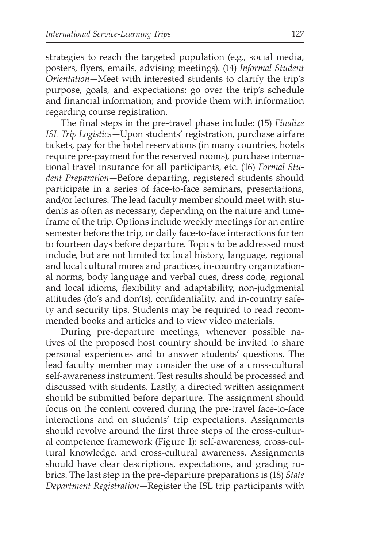strategies to reach the targeted population (e.g., social media, posters, flyers, emails, advising meetings). (14) *Informal Student Orientation*—Meet with interested students to clarify the trip's purpose, goals, and expectations; go over the trip's schedule and financial information; and provide them with information regarding course registration.

The final steps in the pre-travel phase include: (15) *Finalize ISL Trip Logistics*—Upon students' registration, purchase airfare tickets, pay for the hotel reservations (in many countries, hotels require pre-payment for the reserved rooms), purchase international travel insurance for all participants, etc. (16) *Formal Student Preparation*—Before departing, registered students should participate in a series of face-to-face seminars, presentations, and/or lectures. The lead faculty member should meet with students as often as necessary, depending on the nature and timeframe of the trip. Options include weekly meetings for an entire semester before the trip, or daily face-to-face interactions for ten to fourteen days before departure. Topics to be addressed must include, but are not limited to: local history, language, regional and local cultural mores and practices, in-country organizational norms, body language and verbal cues, dress code, regional and local idioms, flexibility and adaptability, non-judgmental attitudes (do's and don'ts), confidentiality, and in-country safety and security tips. Students may be required to read recommended books and articles and to view video materials.

During pre-departure meetings, whenever possible natives of the proposed host country should be invited to share personal experiences and to answer students' questions. The lead faculty member may consider the use of a cross-cultural self-awareness instrument. Test results should be processed and discussed with students. Lastly, a directed written assignment should be submitted before departure. The assignment should focus on the content covered during the pre-travel face-to-face interactions and on students' trip expectations. Assignments should revolve around the first three steps of the cross-cultural competence framework (Figure 1): self-awareness, cross-cultural knowledge, and cross-cultural awareness. Assignments should have clear descriptions, expectations, and grading rubrics. The last step in the pre-departure preparations is (18) *State Department Registration*—Register the ISL trip participants with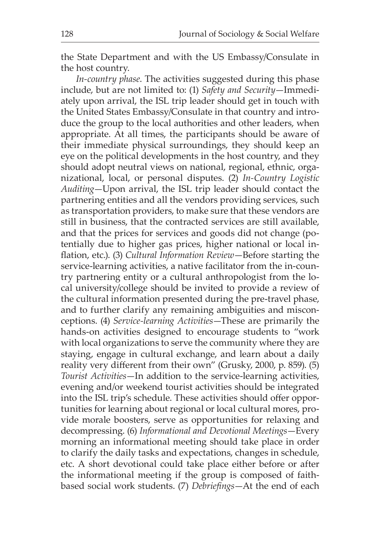the State Department and with the US Embassy/Consulate in the host country.

*In-country phase*. The activities suggested during this phase include, but are not limited to: (1) *Safety and Security*—Immediately upon arrival, the ISL trip leader should get in touch with the United States Embassy/Consulate in that country and introduce the group to the local authorities and other leaders, when appropriate. At all times, the participants should be aware of their immediate physical surroundings, they should keep an eye on the political developments in the host country, and they should adopt neutral views on national, regional, ethnic, organizational, local, or personal disputes. (2) *In-Country Logistic Auditing*—Upon arrival, the ISL trip leader should contact the partnering entities and all the vendors providing services, such as transportation providers, to make sure that these vendors are still in business, that the contracted services are still available, and that the prices for services and goods did not change (potentially due to higher gas prices, higher national or local inflation, etc.). (3) *Cultural Information Review*—Before starting the service-learning activities, a native facilitator from the in-country partnering entity or a cultural anthropologist from the local university/college should be invited to provide a review of the cultural information presented during the pre-travel phase, and to further clarify any remaining ambiguities and misconceptions. (4) *Service-learning Activities*—These are primarily the hands-on activities designed to encourage students to "work with local organizations to serve the community where they are staying, engage in cultural exchange, and learn about a daily reality very different from their own" (Grusky, 2000, p. 859). (5) *Tourist Activities*—In addition to the service-learning activities, evening and/or weekend tourist activities should be integrated into the ISL trip's schedule. These activities should offer opportunities for learning about regional or local cultural mores, provide morale boosters, serve as opportunities for relaxing and decompressing. (6) *Informational and Devotional Meetings*—Every morning an informational meeting should take place in order to clarify the daily tasks and expectations, changes in schedule, etc. A short devotional could take place either before or after the informational meeting if the group is composed of faithbased social work students. (7) *Debriefings*—At the end of each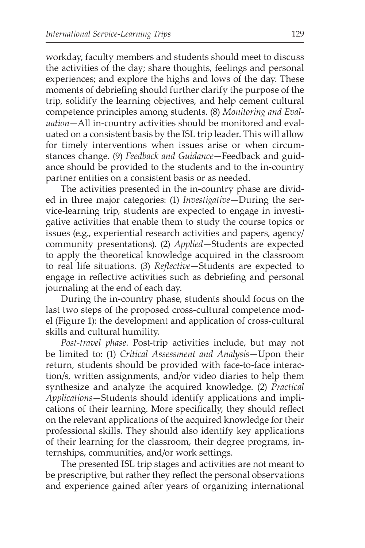workday, faculty members and students should meet to discuss the activities of the day; share thoughts, feelings and personal experiences; and explore the highs and lows of the day. These moments of debriefing should further clarify the purpose of the trip, solidify the learning objectives, and help cement cultural competence principles among students. (8) *Monitoring and Evaluation*—All in-country activities should be monitored and evaluated on a consistent basis by the ISL trip leader. This will allow for timely interventions when issues arise or when circumstances change. (9) *Feedback and Guidance*—Feedback and guidance should be provided to the students and to the in-country partner entities on a consistent basis or as needed.

The activities presented in the in-country phase are divided in three major categories: (1) *Investigative—*During the service-learning trip, students are expected to engage in investigative activities that enable them to study the course topics or issues (e.g., experiential research activities and papers, agency/ community presentations). (2) *Applied*—Students are expected to apply the theoretical knowledge acquired in the classroom to real life situations. (3) *Reflective*—Students are expected to engage in reflective activities such as debriefing and personal journaling at the end of each day.

During the in-country phase, students should focus on the last two steps of the proposed cross-cultural competence model (Figure 1): the development and application of cross-cultural skills and cultural humility.

*Post-travel phase*. Post-trip activities include, but may not be limited to: (1) *Critical Assessment and Analysis*—Upon their return, students should be provided with face-to-face interaction/s, written assignments, and/or video diaries to help them synthesize and analyze the acquired knowledge. (2) *Practical Applications*—Students should identify applications and implications of their learning. More specifically, they should reflect on the relevant applications of the acquired knowledge for their professional skills. They should also identify key applications of their learning for the classroom, their degree programs, internships, communities, and/or work settings.

The presented ISL trip stages and activities are not meant to be prescriptive, but rather they reflect the personal observations and experience gained after years of organizing international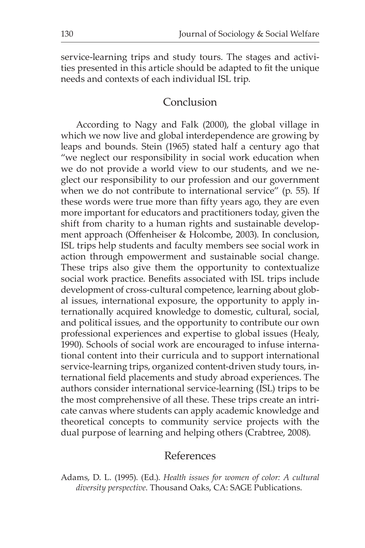service-learning trips and study tours. The stages and activities presented in this article should be adapted to fit the unique needs and contexts of each individual ISL trip.

## Conclusion

According to Nagy and Falk (2000), the global village in which we now live and global interdependence are growing by leaps and bounds. Stein (1965) stated half a century ago that "we neglect our responsibility in social work education when we do not provide a world view to our students, and we neglect our responsibility to our profession and our government when we do not contribute to international service" (p. 55). If these words were true more than fifty years ago, they are even more important for educators and practitioners today, given the shift from charity to a human rights and sustainable development approach (Offenheiser & Holcombe, 2003). In conclusion, ISL trips help students and faculty members see social work in action through empowerment and sustainable social change. These trips also give them the opportunity to contextualize social work practice. Benefits associated with ISL trips include development of cross-cultural competence, learning about global issues, international exposure, the opportunity to apply internationally acquired knowledge to domestic, cultural, social, and political issues, and the opportunity to contribute our own professional experiences and expertise to global issues (Healy, 1990). Schools of social work are encouraged to infuse international content into their curricula and to support international service-learning trips, organized content-driven study tours, international field placements and study abroad experiences. The authors consider international service-learning (ISL) trips to be the most comprehensive of all these. These trips create an intricate canvas where students can apply academic knowledge and theoretical concepts to community service projects with the dual purpose of learning and helping others (Crabtree, 2008).

## References

Adams, D. L. (1995). (Ed.). *Health issues for women of color: A cultural diversity perspective*. Thousand Oaks, CA: SAGE Publications.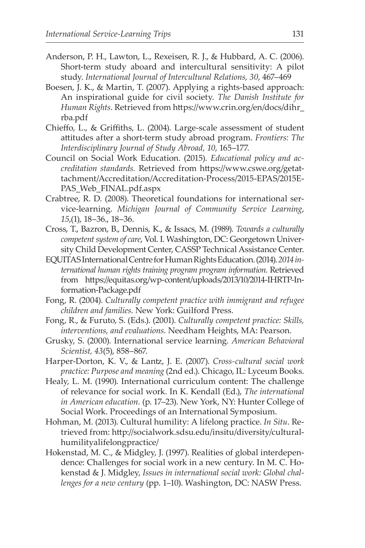- Anderson, P. H., Lawton, L., Rexeisen, R. J., & Hubbard, A. C. (2006). Short-term study aboard and intercultural sensitivity: A pilot study. *International Journal of Intercultural Relations, 30*, 467–469
- Boesen, J. K., & Martin, T. (2007). Applying a rights-based approach: An inspirational guide for civil society. *The Danish Institute for Human Rights.* Retrieved from https://www.crin.org/en/docs/dihr\_ rba.pdf
- Chieffo, L., & Griffiths, L. (2004). Large-scale assessment of student attitudes after a short-term study abroad program. *Frontiers: The Interdisciplinary Journal of Study Abroad, 10*, 165–177.
- Council on Social Work Education. (2015). *Educational policy and accreditation standards.* Retrieved from https://www.cswe.org/getattachment/Accreditation/Accreditation-Process/2015-EPAS/2015E-PAS Web FINAL.pdf.aspx
- Crabtree, R. D. (2008). Theoretical foundations for international service-learning. *Michigan Journal of Community Service Learning*, *15*,(1), 18–36., 18–36.
- Cross, T., Bazron, B., Dennis, K., & Issacs, M. (1989). *Towards a culturally competent system of care*, Vol. I. Washington, DC: Georgetown University Child Development Center, CASSP Technical Assistance Center.
- EQUITAS International Centre for Human Rights Education. (2014). *2014 international human rights training program program information.* Retrieved from https://equitas.org/wp-content/uploads/2013/10/2014-IHRTP-Information-Package.pdf
- Fong, R. (2004). *Culturally competent practice with immigrant and refugee children and families*. New York: Guilford Press.
- Fong, R., & Furuto, S. (Eds.). (2001). *Culturally competent practice: Skills, interventions, and evaluations.* Needham Heights, MA: Pearson.
- Grusky, S. (2000). International service learning. *American Behavioral Scientist, 43*(5), 858–867.
- Harper-Dorton, K. V., & Lantz, J. E. (2007). *Cross-cultural social work practice: Purpose and meaning* (2nd ed.). Chicago, IL: Lyceum Books.
- Healy, L. M. (1990). International curriculum content: The challenge of relevance for social work. In K. Kendall (Ed.), *The international in American education.* (p. 17–23). New York, NY: Hunter College of Social Work. Proceedings of an International Symposium.
- Hohman, M. (2013). Cultural humility: A lifelong practice. *In Situ*. Retrieved from: http://socialwork.sdsu.edu/insitu/diversity/culturalhumilityalifelongpractice/
- Hokenstad, M. C., & Midgley, J. (1997). Realities of global interdependence: Challenges for social work in a new century. In M. C. Hokenstad & J. Midgley, *Issues in international social work: Global challenges for a new century* (pp. 1–10). Washington, DC: NASW Press.